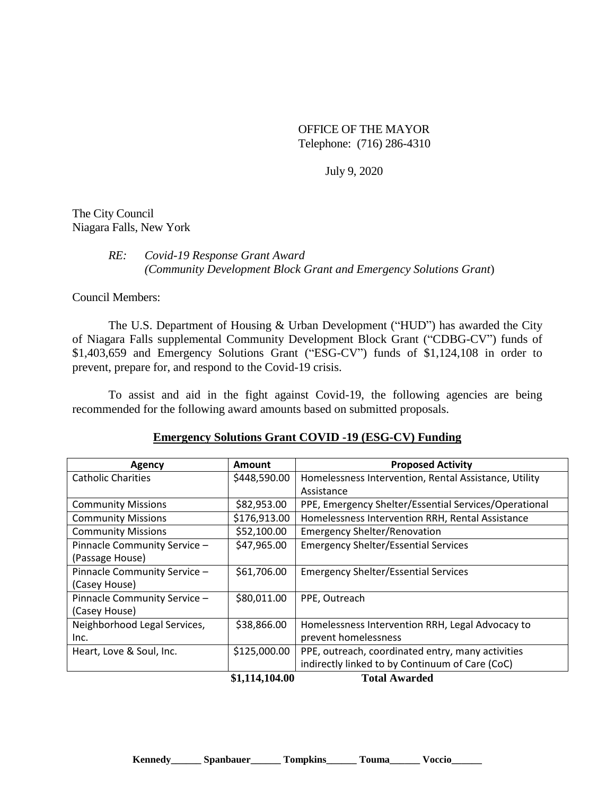OFFICE OF THE MAYOR Telephone: (716) 286-4310

July 9, 2020

The City Council Niagara Falls, New York

## *RE: Covid-19 Response Grant Award (Community Development Block Grant and Emergency Solutions Grant*)

Council Members:

The U.S. Department of Housing & Urban Development ("HUD") has awarded the City of Niagara Falls supplemental Community Development Block Grant ("CDBG-CV") funds of \$1,403,659 and Emergency Solutions Grant ("ESG-CV") funds of \$1,124,108 in order to prevent, prepare for, and respond to the Covid-19 crisis.

To assist and aid in the fight against Covid-19, the following agencies are being recommended for the following award amounts based on submitted proposals.

## **Emergency Solutions Grant COVID -19 (ESG-CV) Funding**

| Agency                       | Amount         | <b>Proposed Activity</b>                              |
|------------------------------|----------------|-------------------------------------------------------|
| <b>Catholic Charities</b>    | \$448,590.00   | Homelessness Intervention, Rental Assistance, Utility |
|                              |                | Assistance                                            |
| <b>Community Missions</b>    | \$82,953.00    | PPE, Emergency Shelter/Essential Services/Operational |
| <b>Community Missions</b>    | \$176,913.00   | Homelessness Intervention RRH, Rental Assistance      |
| <b>Community Missions</b>    | \$52,100.00    | <b>Emergency Shelter/Renovation</b>                   |
| Pinnacle Community Service - | \$47,965.00    | <b>Emergency Shelter/Essential Services</b>           |
| (Passage House)              |                |                                                       |
| Pinnacle Community Service - | \$61,706.00    | <b>Emergency Shelter/Essential Services</b>           |
| (Casey House)                |                |                                                       |
| Pinnacle Community Service - | \$80,011.00    | PPE, Outreach                                         |
| (Casey House)                |                |                                                       |
| Neighborhood Legal Services, | \$38,866.00    | Homelessness Intervention RRH, Legal Advocacy to      |
| Inc.                         |                | prevent homelessness                                  |
| Heart, Love & Soul, Inc.     | \$125,000.00   | PPE, outreach, coordinated entry, many activities     |
|                              |                | indirectly linked to by Continuum of Care (CoC)       |
|                              | \$1,114,104.00 | <b>Total Awarded</b>                                  |

**Kennedy\_\_\_\_\_\_ Spanbauer\_\_\_\_\_\_ Tompkins\_\_\_\_\_\_ Touma\_\_\_\_\_\_ Voccio\_\_\_\_\_\_**